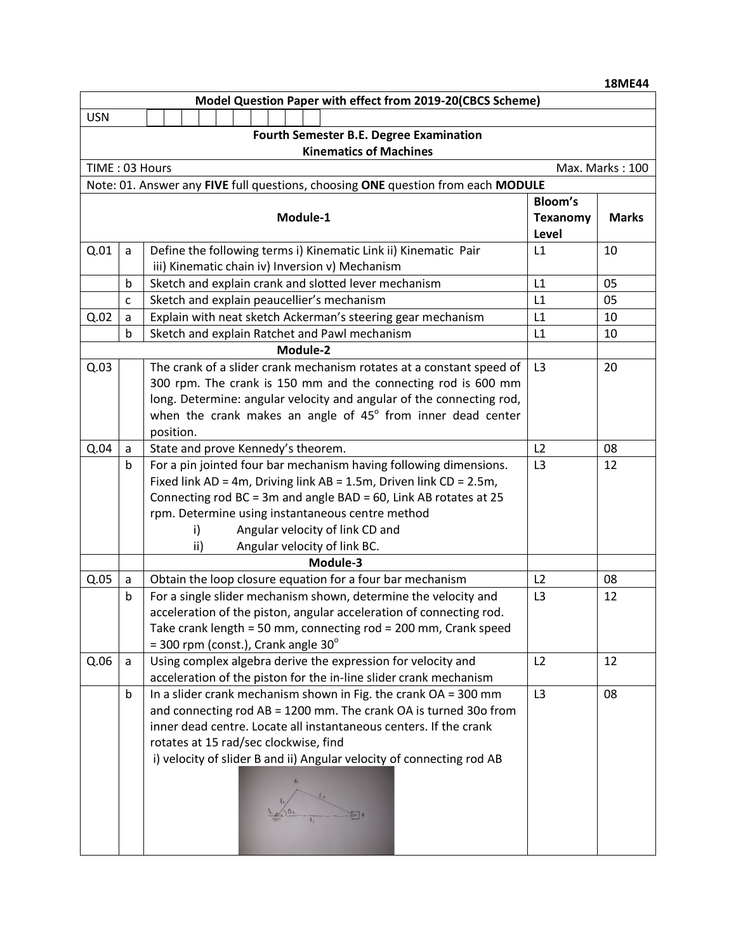|                                                            |                                   |                                                                                                                                       |                | <b>18ME44</b> |  |  |  |
|------------------------------------------------------------|-----------------------------------|---------------------------------------------------------------------------------------------------------------------------------------|----------------|---------------|--|--|--|
| Model Question Paper with effect from 2019-20(CBCS Scheme) |                                   |                                                                                                                                       |                |               |  |  |  |
| <b>USN</b>                                                 |                                   |                                                                                                                                       |                |               |  |  |  |
| <b>Fourth Semester B.E. Degree Examination</b>             |                                   |                                                                                                                                       |                |               |  |  |  |
| <b>Kinematics of Machines</b>                              |                                   |                                                                                                                                       |                |               |  |  |  |
|                                                            | Max. Marks: 100<br>TIME: 03 Hours |                                                                                                                                       |                |               |  |  |  |
|                                                            |                                   | Note: 01. Answer any FIVE full questions, choosing ONE question from each MODULE                                                      |                |               |  |  |  |
|                                                            |                                   |                                                                                                                                       | <b>Bloom's</b> |               |  |  |  |
| Module-1                                                   |                                   | <b>Texanomy</b>                                                                                                                       | <b>Marks</b>   |               |  |  |  |
|                                                            |                                   |                                                                                                                                       | Level          |               |  |  |  |
| Q.01                                                       | a                                 | Define the following terms i) Kinematic Link ii) Kinematic Pair                                                                       | L1             | 10            |  |  |  |
|                                                            |                                   | iii) Kinematic chain iv) Inversion v) Mechanism                                                                                       |                |               |  |  |  |
|                                                            | b                                 | Sketch and explain crank and slotted lever mechanism                                                                                  | L1             | 05            |  |  |  |
|                                                            | C                                 | Sketch and explain peaucellier's mechanism                                                                                            | L1             | 05            |  |  |  |
| Q.02                                                       | a                                 | Explain with neat sketch Ackerman's steering gear mechanism                                                                           | L1             | 10            |  |  |  |
|                                                            | $\mathsf b$                       | Sketch and explain Ratchet and Pawl mechanism<br>Module-2                                                                             | L1             | 10            |  |  |  |
|                                                            |                                   |                                                                                                                                       |                | 20            |  |  |  |
| Q.03                                                       |                                   | The crank of a slider crank mechanism rotates at a constant speed of<br>300 rpm. The crank is 150 mm and the connecting rod is 600 mm | L3             |               |  |  |  |
|                                                            |                                   | long. Determine: angular velocity and angular of the connecting rod,                                                                  |                |               |  |  |  |
|                                                            |                                   | when the crank makes an angle of $45^\circ$ from inner dead center                                                                    |                |               |  |  |  |
|                                                            |                                   | position.                                                                                                                             |                |               |  |  |  |
| Q.04                                                       | a                                 | State and prove Kennedy's theorem.                                                                                                    | L2             | 08            |  |  |  |
|                                                            | $\mathbf b$                       | For a pin jointed four bar mechanism having following dimensions.                                                                     | L <sub>3</sub> | 12            |  |  |  |
|                                                            |                                   | Fixed link AD = 4m, Driving link AB = 1.5m, Driven link CD = 2.5m,                                                                    |                |               |  |  |  |
|                                                            |                                   | Connecting rod BC = 3m and angle BAD = 60, Link AB rotates at 25                                                                      |                |               |  |  |  |
|                                                            |                                   | rpm. Determine using instantaneous centre method                                                                                      |                |               |  |  |  |
|                                                            |                                   | Angular velocity of link CD and<br>i)                                                                                                 |                |               |  |  |  |
|                                                            |                                   | Angular velocity of link BC.<br>ii)                                                                                                   |                |               |  |  |  |
|                                                            |                                   | Module-3                                                                                                                              |                |               |  |  |  |
| Q.05                                                       | a                                 | Obtain the loop closure equation for a four bar mechanism                                                                             | L2             | 08            |  |  |  |
|                                                            | b                                 | For a single slider mechanism shown, determine the velocity and                                                                       | L <sub>3</sub> | 12            |  |  |  |
|                                                            |                                   | acceleration of the piston, angular acceleration of connecting rod.                                                                   |                |               |  |  |  |
|                                                            |                                   | Take crank length = 50 mm, connecting rod = 200 mm, Crank speed                                                                       |                |               |  |  |  |
|                                                            |                                   | $=$ 300 rpm (const.), Crank angle 30 $^{\circ}$                                                                                       |                |               |  |  |  |
| Q.06                                                       | a                                 | Using complex algebra derive the expression for velocity and                                                                          | L2             | 12            |  |  |  |
|                                                            |                                   | acceleration of the piston for the in-line slider crank mechanism                                                                     |                |               |  |  |  |
|                                                            | b                                 | In a slider crank mechanism shown in Fig. the crank OA = 300 mm                                                                       | L3             | 08            |  |  |  |
|                                                            |                                   | and connecting rod AB = 1200 mm. The crank OA is turned 30o from<br>inner dead centre. Locate all instantaneous centers. If the crank |                |               |  |  |  |
|                                                            |                                   | rotates at 15 rad/sec clockwise, find                                                                                                 |                |               |  |  |  |
|                                                            |                                   | i) velocity of slider B and ii) Angular velocity of connecting rod AB                                                                 |                |               |  |  |  |
|                                                            |                                   |                                                                                                                                       |                |               |  |  |  |
|                                                            |                                   |                                                                                                                                       |                |               |  |  |  |
|                                                            |                                   |                                                                                                                                       |                |               |  |  |  |